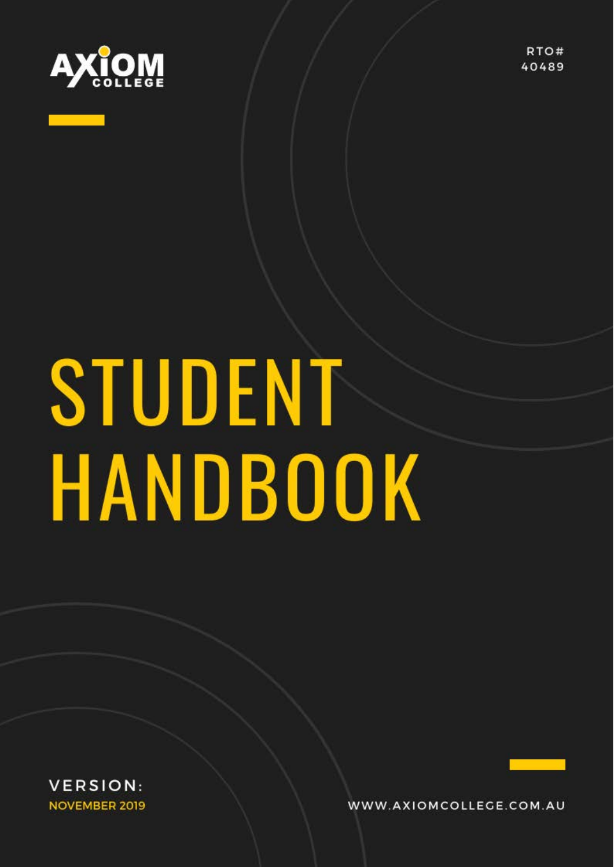

RTO# 40489

# STUDENT HANDBOOK

**VERSION: NOVEMBER 2019** 

WWW.AXIOMCOLLEGE.COM.AU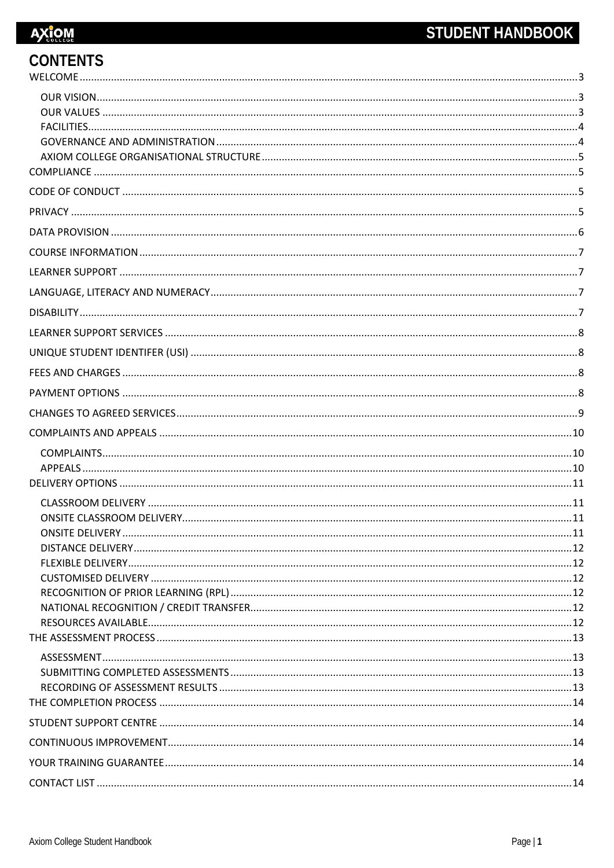| <b>CONTENTS</b> |  |
|-----------------|--|
|                 |  |
|                 |  |
|                 |  |
|                 |  |
|                 |  |
|                 |  |
|                 |  |
|                 |  |
|                 |  |
|                 |  |
|                 |  |
|                 |  |
|                 |  |
|                 |  |
|                 |  |
|                 |  |
|                 |  |
|                 |  |
|                 |  |
|                 |  |
|                 |  |
|                 |  |
|                 |  |
|                 |  |
|                 |  |
|                 |  |
|                 |  |
|                 |  |
|                 |  |
|                 |  |
|                 |  |
|                 |  |
|                 |  |
|                 |  |
|                 |  |
|                 |  |
|                 |  |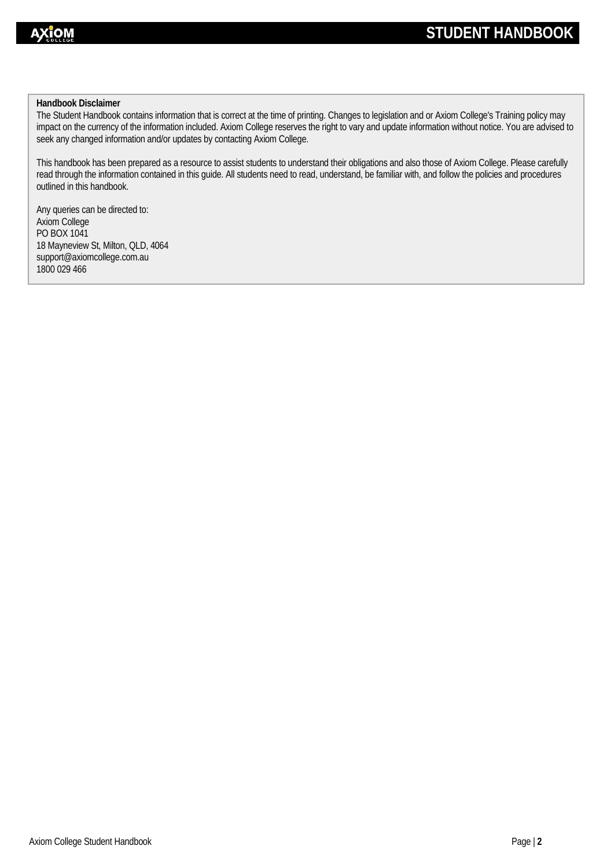### **Handbook Disclaimer**

The Student Handbook contains information that is correct at the time of printing. Changes to legislation and or Axiom College's Training policy may impact on the currency of the information included. Axiom College reserves the right to vary and update information without notice. You are advised to seek any changed information and/or updates by contacting Axiom College.

This handbook has been prepared as a resource to assist students to understand their obligations and also those of Axiom College. Please carefully read through the information contained in this guide. All students need to read, understand, be familiar with, and follow the policies and procedures outlined in this handbook.

Any queries can be directed to: Axiom College PO BOX 1041 18 Mayneview St, Milton, QLD, 4064 support@axiomcollege.com.au 1800 029 466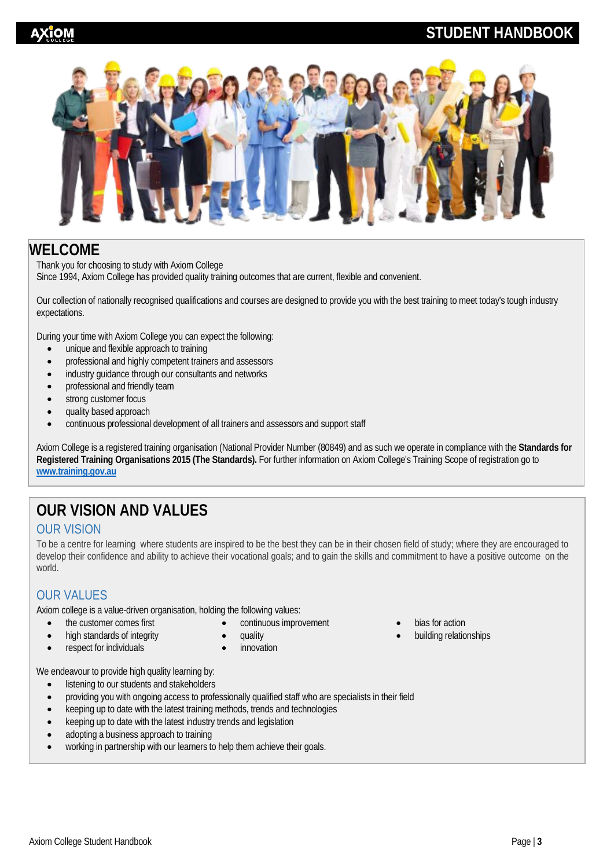# **STUDENT HANDBOOK**



# <span id="page-3-0"></span>**WELCOME**

Thank you for choosing to study with Axiom College Since 1994, Axiom College has provided quality training outcomes that are current, flexible and convenient.

Our collection of nationally recognised qualifications and courses are designed to provide you with the best training to meet today's tough industry expectations.

During your time with Axiom College you can expect the following:

- unique and flexible approach to training
- professional and highly competent trainers and assessors
- industry quidance through our consultants and networks
- professional and friendly team
- strong customer focus
- quality based approach
- continuous professional development of all trainers and assessors and support staff

Axiom College is a registered training organisation (National Provider Number (80849) and as such we operate in compliance with the **Standards for Registered Training Organisations 2015 (The Standards).** For further information on Axiom College's Training Scope of registration go to **[www.training.gov.au](http://www.training.gov.au/)**

# **OUR VISION AND VALUES**

### <span id="page-3-1"></span>OUR VISION

To be a centre for learning where students are inspired to be the best they can be in their chosen field of study; where they are encouraged to develop their confidence and ability to achieve their vocational goals; and to gain the skills and commitment to have a positive outcome on the world.

### <span id="page-3-2"></span>OUR VALUES

Axiom college is a value-driven organisation, holding the following values:

- the customer comes first
- high standards of integrity respect for individuals
- continuous improvement • quality
- **innovation**
- We endeavour to provide high quality learning by:
	- listening to our students and stakeholders
	- providing you with ongoing access to professionally qualified staff who are specialists in their field
	- keeping up to date with the latest training methods, trends and technologies
	- keeping up to date with the latest industry trends and legislation
	- adopting a business approach to training
	- working in partnership with our learners to help them achieve their goals.
- bias for action
- building relationships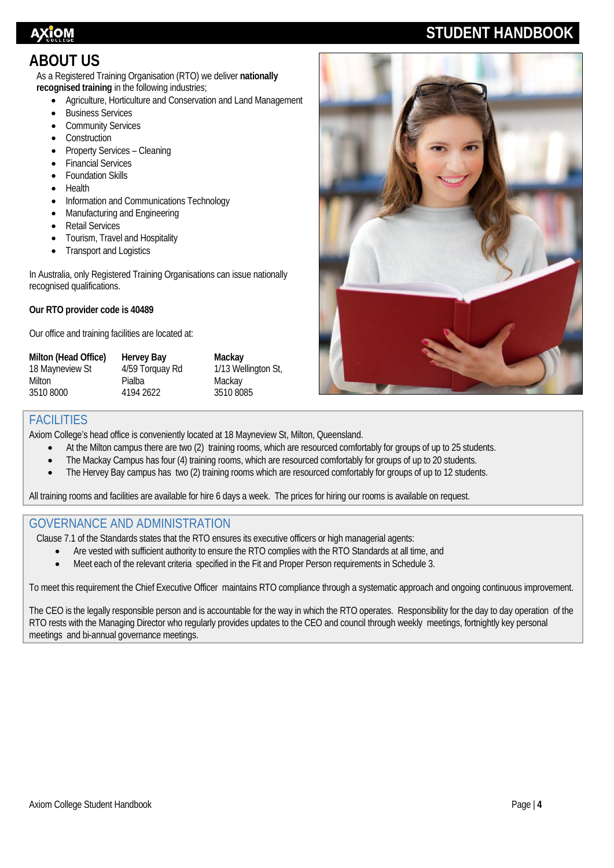# **STUDENT HANDBOOK**

# **ABOUT US**

As a Registered Training Organisation (RTO) we deliver **nationally recognised training** in the following industries;

- Agriculture, Horticulture and Conservation and Land Management
- Business Services
- **Community Services**
- **Construction**
- Property Services Cleaning
- **Financial Services**
- Foundation Skills
- Health
- Information and Communications Technology
- Manufacturing and Engineering
- Retail Services
- Tourism, Travel and Hospitality
- Transport and Logistics

In Australia, only Registered Training Organisations can issue nationally recognised qualifications.

### **Our RTO provider code is 40489**

Our office and training facilities are located at:

| Milton (Head Office) | Hervey Bay      | Mackay              |
|----------------------|-----------------|---------------------|
| 18 Mayneview St      | 4/59 Torquay Rd | 1/13 Wellington St, |
| Milton               | Pialba          | Mackay              |
| 35108000             | 4194 2622       | 35108085            |
|                      |                 |                     |



### <span id="page-4-0"></span>FACILITIES

Axiom College's head office is conveniently located at 18 Mayneview St, Milton, Queensland.

- At the Milton campus there are two (2) training rooms, which are resourced comfortably for groups of up to 25 students.
- The Mackay Campus has four (4) training rooms, which are resourced comfortably for groups of up to 20 students.
- The Hervey Bay campus has two (2) training rooms which are resourced comfortably for groups of up to 12 students.

All training rooms and facilities are available for hire 6 days a week. The prices for hiring our rooms is available on request.

### <span id="page-4-1"></span>GOVERNANCE AND ADMINISTRATION

Clause 7.1 of the Standards states that the RTO ensures its executive officers or high managerial agents:

- Are vested with sufficient authority to ensure the RTO complies with the RTO Standards at all time, and
- Meet each of the relevant criteria specified in the Fit and Proper Person requirements in Schedule 3.

To meet this requirement the Chief Executive Officer maintains RTO compliance through a systematic approach and ongoing continuous improvement.

The CEO is the legally responsible person and is accountable for the way in which the RTO operates. Responsibility for the day to day operation of the RTO rests with the Managing Director who regularly provides updates to the CEO and council through weekly meetings, fortnightly key personal meetings and bi-annual governance meetings.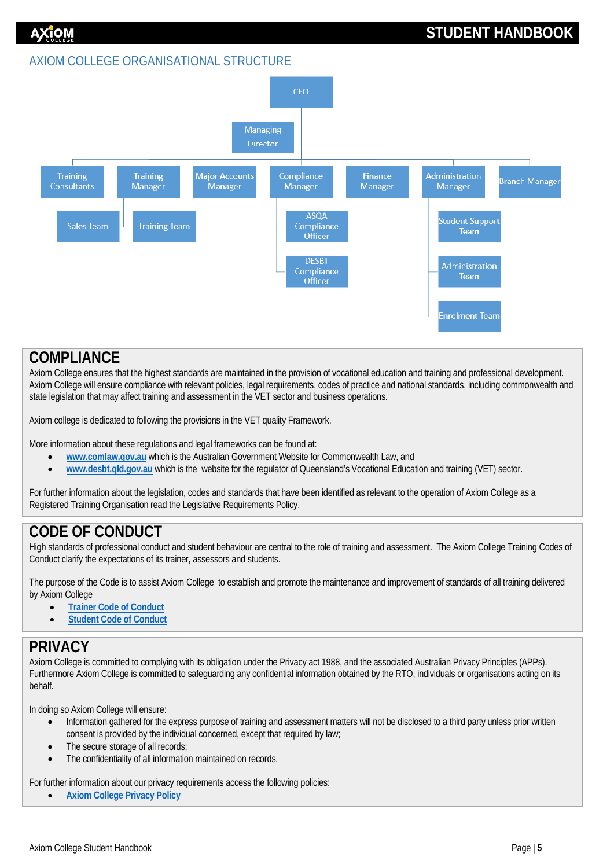### <span id="page-5-0"></span>AXIOM COLLEGE ORGANISATIONAL STRUCTURE



### <span id="page-5-1"></span>**COMPLIANCE**

Axiom College ensures that the highest standards are maintained in the provision of vocational education and training and professional development. Axiom College will ensure compliance with relevant policies, legal requirements, codes of practice and national standards, including commonwealth and state legislation that may affect training and assessment in the VET sector and business operations.

Axiom college is dedicated to following the provisions in the VET quality Framework.

More information about these regulations and legal frameworks can be found at:

- **[www.comlaw.gov.au](http://www.comlaw.gov.au/)** which is the Australian Government Website for Commonwealth Law, and
- **[www.desbt.qld.gov.au](http://www.desbt.qld.gov.au/)** which is the website for the regulator of Queensland's Vocational Education and training (VET) sector.

For further information about the legislation, codes and standards that have been identified as relevant to the operation of Axiom College as a Registered Training Organisation read the Legislative Requirements Policy.

# <span id="page-5-2"></span>**CODE OF CONDUCT**

High standards of professional conduct and student behaviour are central to the role of training and assessment. The Axiom College Training Codes of Conduct clarify the expectations of its trainer, assessors and students.

The purpose of the Code is to assist Axiom College to establish and promote the maintenance and improvement of standards of all training delivered by Axiom College

- **[Trainer Code of Conduct](http://www.axiomcollege.com.au/wp-content/uploads/2019/12/Trainer_Code_Of_Conduct_V3JUL19.pdf)**
- **[Student Code of Conduct](http://www.axiomcollege.com.au/wp-content/uploads/2019/12/Student_Code_Of_Conduct_V3JUL19.pdf)**

### <span id="page-5-3"></span>**PRIVACY**

Axiom College is committed to complying with its obligation under the Privacy act 1988, and the associated Australian Privacy Principles (APPs). Furthermore Axiom College is committed to safeguarding any confidential information obtained by the RTO, individuals or organisations acting on its behalf.

In doing so Axiom College will ensure:

- Information gathered for the express purpose of training and assessment matters will not be disclosed to a third party unless prior written consent is provided by the individual concerned, except that required by law;
- The secure storage of all records:
- The confidentiality of all information maintained on records.

For further information about our privacy requirements access the following policies:

• **[Axiom College Privacy Policy](http://www.axiomcollege.com.au/wp-content/uploads/2015/11/POL12-Privacy-Policy-v1-16Aug2012.pdf)**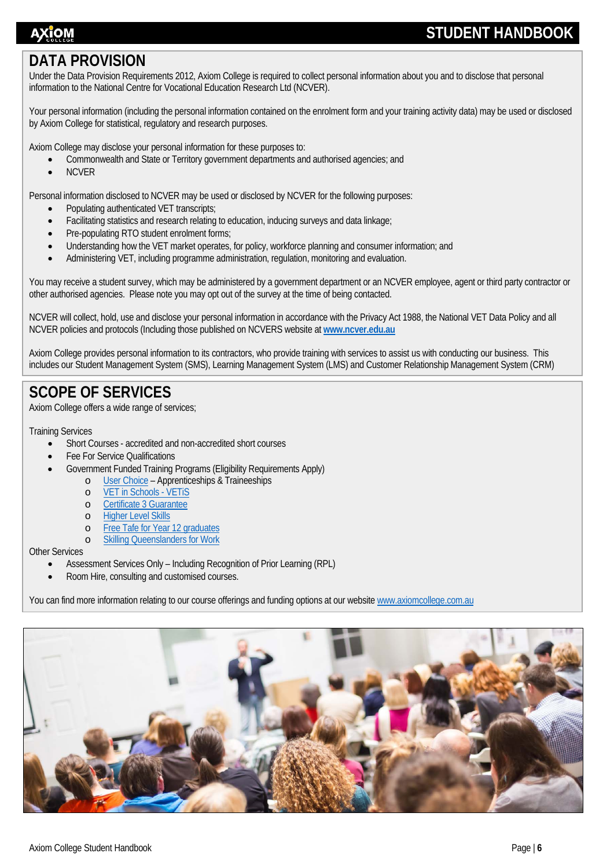# ΑΧἴΟΜ

# **STUDENT HANDBOOK**

# <span id="page-6-0"></span>**DATA PROVISION**

Under the Data Provision Requirements 2012, Axiom College is required to collect personal information about you and to disclose that personal information to the National Centre for Vocational Education Research Ltd (NCVER).

Your personal information (including the personal information contained on the enrolment form and your training activity data) may be used or disclosed by Axiom College for statistical, regulatory and research purposes.

Axiom College may disclose your personal information for these purposes to:

- Commonwealth and State or Territory government departments and authorised agencies; and
- NCVER

Personal information disclosed to NCVER may be used or disclosed by NCVER for the following purposes:

- Populating authenticated VET transcripts;
- Facilitating statistics and research relating to education, inducing surveys and data linkage;
- Pre-populating RTO student enrolment forms;
- Understanding how the VET market operates, for policy, workforce planning and consumer information; and
- Administering VET, including programme administration, regulation, monitoring and evaluation.

You may receive a student survey, which may be administered by a government department or an NCVER employee, agent or third party contractor or other authorised agencies. Please note you may opt out of the survey at the time of being contacted.

NCVER will collect, hold, use and disclose your personal information in accordance with the Privacy Act 1988, the National VET Data Policy and all NCVER policies and protocols (Including those published on NCVERS website at **[www.ncver.edu.au](http://www.ncver.edu.au/)**

Axiom College provides personal information to its contractors, who provide training with services to assist us with conducting our business. This includes our Student Management System (SMS), Learning Management System (LMS) and Customer Relationship Management System (CRM)

# **SCOPE OF SERVICES**

Axiom College offers a wide range of services;

Training Services

- Short Courses accredited and non-accredited short courses
- Fee For Service Qualifications
- Government Funded Training Programs (Eligibility Requirements Apply)
	- o [User Choice](https://desbt.qld.gov.au/training/apprentices/about) Apprenticeships & Traineeships
		- o [VET in Schools -](https://desbt.qld.gov.au/training/providers/funded/vetis) VETiS
	- o [Certificate 3 Guarantee](https://desbt.qld.gov.au/training/training-careers/incentives/certificate3/faq)
	- o [Higher Level Skills](https://desbt.qld.gov.au/training/providers/funded/higher-level-skills)
	- o [Free Tafe for Year 12 graduates](https://desbt.qld.gov.au/training/providers/funded/free-tafe)
	- o [Skilling Queenslanders for Work](https://desbt.qld.gov.au/training/training-careers/incentives/sqw)

### Other Services

- Assessment Services Only Including Recognition of Prior Learning (RPL)
- Room Hire, consulting and customised courses.

You can find more information relating to our course offerings and funding options at our websit[e www.axiomcollege.com.au](http://www.axiomcollege.com.au/)

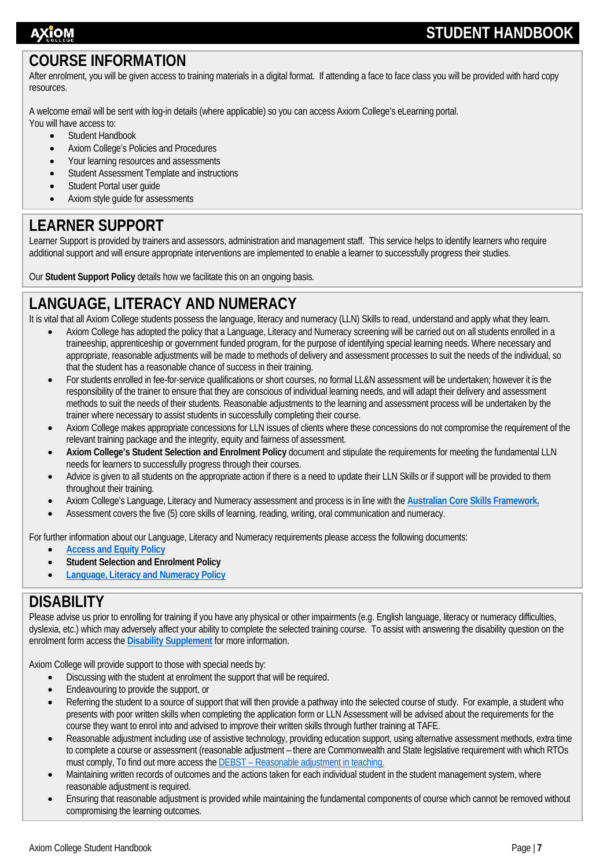# AXĭOM

# **STUDENT HANDBOOK**

# <span id="page-7-0"></span>**COURSE INFORMATION**

After enrolment, you will be given access to training materials in a digital format. If attending a face to face class you will be provided with hard copy resources.

A welcome email will be sent with log-in details (where applicable) so you can access Axiom College's eLearning portal.

- You will have access to:
	- Student Handbook
	- Axiom College's Policies and Procedures
	- Your learning resources and assessments • Student Assessment Template and instructions
	-
	- Student Portal user quide • Axiom style guide for assessments
	-

# <span id="page-7-1"></span>**LEARNER SUPPORT**

Learner Support is provided by trainers and assessors, administration and management staff. This service helps to identify learners who require additional support and will ensure appropriate interventions are implemented to enable a learner to successfully progress their studies.

Our **Student Support Policy** details how we facilitate this on an ongoing basis.

# <span id="page-7-2"></span>**LANGUAGE, LITERACY AND NUMERACY**

It is vital that all Axiom College students possess the language, literacy and numeracy (LLN) Skills to read, understand and apply what they learn.

- Axiom College has adopted the policy that a Language, Literacy and Numeracy screening will be carried out on all students enrolled in a traineeship, apprenticeship or government funded program, for the purpose of identifying special learning needs. Where necessary and appropriate, reasonable adjustments will be made to methods of delivery and assessment processes to suit the needs of the individual, so that the student has a reasonable chance of success in their training.
- For students enrolled in fee-for-service qualifications or short courses, no formal LL&N assessment will be undertaken; however it is the responsibility of the trainer to ensure that they are conscious of individual learning needs, and will adapt their delivery and assessment methods to suit the needs of their students. Reasonable adjustments to the learning and assessment process will be undertaken by the trainer where necessary to assist students in successfully completing their course.
- Axiom College makes appropriate concessions for LLN issues of clients where these concessions do not compromise the requirement of the relevant training package and the integrity, equity and fairness of assessment.
- **Axiom College's Student Selection and Enrolment Policy** document and stipulate the requirements for meeting the fundamental LLN needs for learners to successfully progress through their courses.
- Advice is given to all students on the appropriate action if there is a need to update their LLN Skills or if support will be provided to them throughout their training.
- Axiom College's Language, Literacy and Numeracy assessment and process is in line with the **[Australian Core Skills Framework.](https://www.employment.gov.au/australian-core-skills-framework)**
- Assessment covers the five (5) core skills of learning, reading, writing, oral communication and numeracy.

For further information about our Language, Literacy and Numeracy requirements please access the following documents:

- **[Access and Equity Policy](http://www.axiomcollege.com.au/wp-content/uploads/2015/11/POL02-Access-and-Equity-Policy-v1-10Aug2012_0.pdf)**
- **Student Selection and Enrolment Policy**
- **[Language, Literacy and Numeracy Policy](http://www.axiomcollege.com.au/wp-content/uploads/2015/11/POL03-Language-Literacy-Policy-v1-10Aug2012_0.pdf)**

# <span id="page-7-3"></span>**DISABILITY**

Please advise us prior to enrolling for training if you have any physical or other impairments (e.g. English language, literacy or numeracy difficulties, dyslexia, etc.) which may adversely affect your ability to complete the selected training course. To assist with answering the disability question on the enrolment form access the **Disability [Supplement](http://www.axiomcollege.com.au/wp-content/uploads/2019/08/Enrolment_Disability_Supplement_V1_AUG_2019.pdf)** for more information.

Axiom College will provide support to those with special needs by:

- Discussing with the student at enrolment the support that will be required.
- Endeavouring to provide the support, or
- Referring the student to a source of support that will then provide a pathway into the selected course of study. For example, a student who presents with poor written skills when completing the application form or LLN Assessment will be advised about the requirements for the course they want to enrol into and advised to improve their written skills through further training at TAFE.
- Reasonable adjustment including use of assistive technology, providing education support, using alternative assessment methods, extra time to complete a course or assessment (reasonable adjustment – there are Commonwealth and State legislative requirement with which RTOs must comply, To find out more access the DEBST – [Reasonable adjustment in teaching.](https://desbt.qld.gov.au/__data/assets/pdf_file/0028/8299/reasonable-adjustment-for-web.pdf)
- Maintaining written records of outcomes and the actions taken for each individual student in the student management system, where reasonable adjustment is required.
- Ensuring that reasonable adjustment is provided while maintaining the fundamental components of course which cannot be removed without compromising the learning outcomes.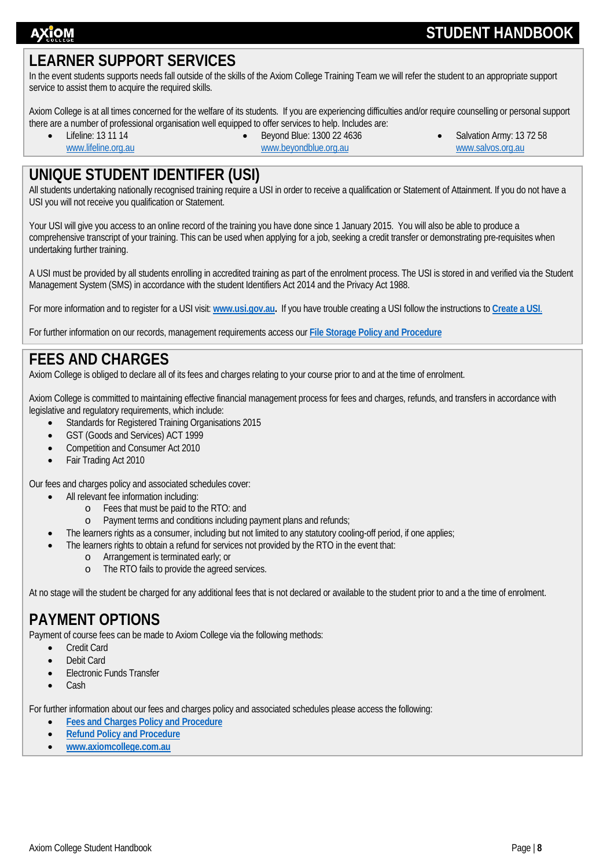# **STUDENT HANDBOOK**

# <span id="page-8-0"></span>**LEARNER SUPPORT SERVICES**

In the event students supports needs fall outside of the skills of the Axiom College Training Team we will refer the student to an appropriate support service to assist them to acquire the required skills.

Axiom College is at all times concerned for the welfare of its students. If you are experiencing difficulties and/or require counselling or personal support there are a number of professional organisation well equipped to offer services to help. Includes are:

• Lifeline: 13 11 14

[www.lifeline.org.au](http://www.lifeline.org.au/)

- Beyond Blue: 1300 22 4636 [www.beyondblue.org.au](http://www.beyondblue.org.au/)
- Salvation Army: 13 72 58 [www.salvos.org.au](http://www.salvos.org.au/)

# <span id="page-8-1"></span>**UNIQUE STUDENT IDENTIFER (USI)**

All students undertaking nationally recognised training require a USI in order to receive a qualification or Statement of Attainment. If you do not have a USI you will not receive you qualification or Statement.

Your USI will give you access to an online record of the training you have done since 1 January 2015. You will also be able to produce a comprehensive transcript of your training. This can be used when applying for a job, seeking a credit transfer or demonstrating pre-requisites when undertaking further training.

A USI must be provided by all students enrolling in accredited training as part of the enrolment process. The USI is stored in and verified via the Student Management System (SMS) in accordance with the student Identifiers Act 2014 and the Privacy Act 1988.

For more information and to register for a USI visit: **[www.usi.gov.au.](http://www.usi.gov.au/)** If you have trouble creating a USI follow the instructions to **[Create a USI](https://www.usi.gov.au/your-usi/create-usi)**.

For further information on our records, management requirements access our **[File Storage Policy and Procedure](http://www.axiomcollege.com.au/wp-content/uploads/2019/12/POL09-File-Storage-Policy-Procedure-v3-May-2019.pdf)**

# <span id="page-8-2"></span>**FEES AND CHARGES**

Axiom College is obliged to declare all of its fees and charges relating to your course prior to and at the time of enrolment.

Axiom College is committed to maintaining effective financial management process for fees and charges, refunds, and transfers in accordance with legislative and regulatory requirements, which include:

- Standards for Registered Training Organisations 2015
- GST (Goods and Services) ACT 1999
- Competition and Consumer Act 2010
- Fair Trading Act 2010

Our fees and charges policy and associated schedules cover:

- All relevant fee information including:
	- o Fees that must be paid to the RTO: and
	- o Payment terms and conditions including payment plans and refunds;
- The learners rights as a consumer, including but not limited to any statutory cooling-off period, if one applies;
- The learners rights to obtain a refund for services not provided by the RTO in the event that:
	- o Arrangement is terminated early; or
	- o The RTO fails to provide the agreed services.

At no stage will the student be charged for any additional fees that is not declared or available to the student prior to and a the time of enrolment.

# <span id="page-8-3"></span>**PAYMENT OPTIONS**

Payment of course fees can be made to Axiom College via the following methods:

- Credit Card
- Debit Card
- Electronic Funds Transfer
- Cash

For further information about our fees and charges policy and associated schedules please access the following:

- **[Fees and Charges Policy and Procedure](http://www.axiomcollege.com.au/wp-content/uploads/2019/12/POL11-Fees-and-Charges-Policy-and-Procedure-V5-FEB-2019.pdf)**
- **[Refund Policy and Procedure](http://www.axiomcollege.com.au/wp-content/uploads/2019/12/POL08-Refund-Policy-and-Procedure-V5-FEB-2019.pdf)**
- **[www.axiomcollege.com.au](http://www.axiomcollege.com.au/)**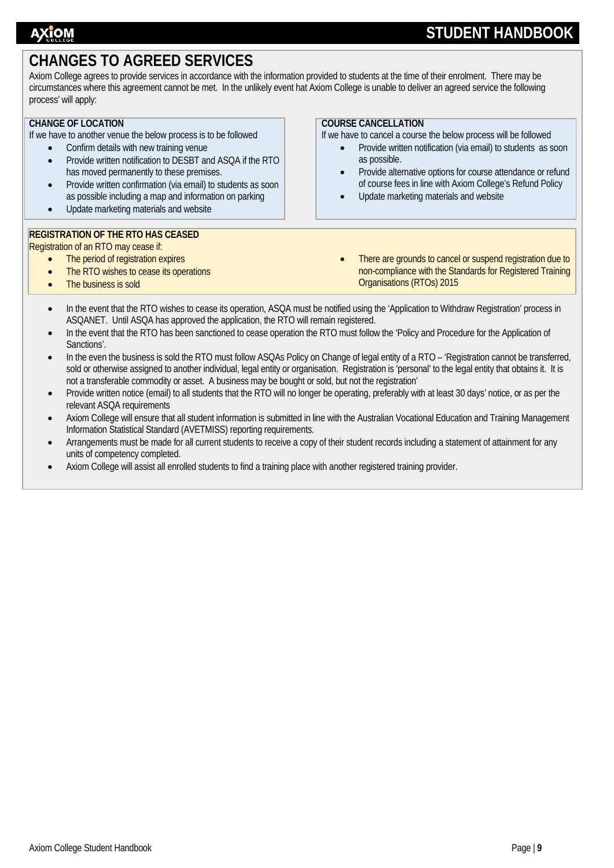# <span id="page-9-0"></span>**CHANGES TO AGREED SERVICES**

Axiom College agrees to provide services in accordance with the information provided to students at the time of their enrolment. There may be circumstances where this agreement cannot be met. In the unlikely event hat Axiom College is unable to deliver an agreed service the following process' will apply:

### **CHANGE OF LOCATION**

If we have to another venue the below process is to be followed

- Confirm details with new training venue
- Provide written notification to DESBT and ASQA if the RTO has moved permanently to these premises.
- Provide written confirmation (via email) to students as soon as possible including a map and information on parking
- Update marketing materials and website

### **REGISTRATION OF THE RTO HAS CEASED**

Registration of an RTO may cease if:

- The period of registration expires
- The RTO wishes to cease its operations
- The business is sold

**COURSE CANCELLATION**

If we have to cancel a course the below process will be followed

- Provide written notification (via email) to students as soon as possible.
- Provide alternative options for course attendance or refund of course fees in line with Axiom College's Refund Policy
- Update marketing materials and website
- There are grounds to cancel or suspend registration due to non-compliance with the Standards for Registered Training Organisations (RTOs) 2015
- In the event that the RTO wishes to cease its operation, ASQA must be notified using the 'Application to Withdraw Registration' process in ASQANET. Until ASQA has approved the application, the RTO will remain registered.
- In the event that the RTO has been sanctioned to cease operation the RTO must follow the 'Policy and Procedure for the Application of Sanctions'.
- In the even the business is sold the RTO must follow ASQAs Policy on Change of legal entity of a RTO 'Registration cannot be transferred, sold or otherwise assigned to another individual, legal entity or organisation. Registration is 'personal' to the legal entity that obtains it. It is not a transferable commodity or asset. A business may be bought or sold, but not the registration'
- Provide written notice (email) to all students that the RTO will no longer be operating, preferably with at least 30 days' notice, or as per the relevant ASQA requirements
- Axiom College will ensure that all student information is submitted in line with the Australian Vocational Education and Training Management Information Statistical Standard (AVETMISS) reporting requirements.
- Arrangements must be made for all current students to receive a copy of their student records including a statement of attainment for any units of competency completed.
- Axiom College will assist all enrolled students to find a training place with another registered training provider.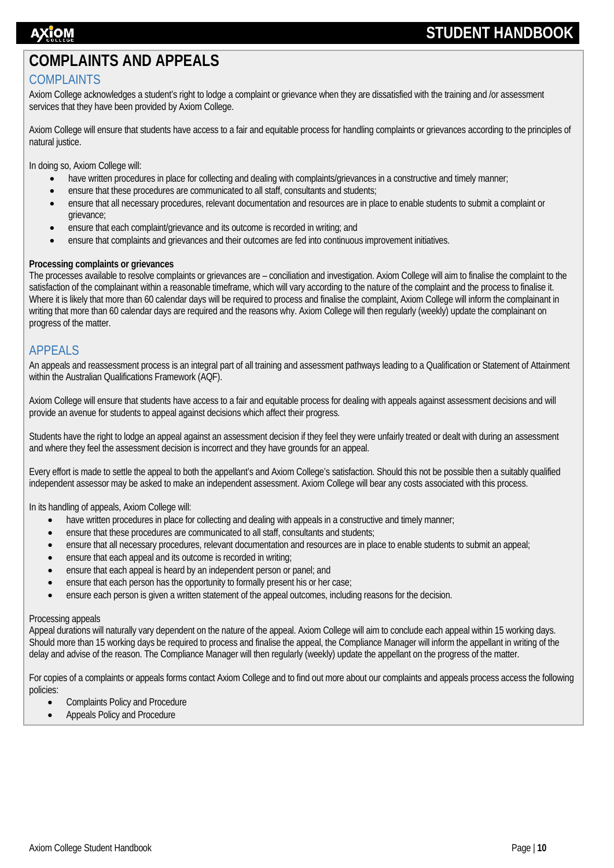# <span id="page-10-0"></span>**COMPLAINTS AND APPEALS**

### <span id="page-10-1"></span>COMPLAINTS

Axiom College acknowledges a student's right to lodge a complaint or grievance when they are dissatisfied with the training and /or assessment services that they have been provided by Axiom College.

Axiom College will ensure that students have access to a fair and equitable process for handling complaints or grievances according to the principles of natural justice.

In doing so, Axiom College will:

- have written procedures in place for collecting and dealing with complaints/grievances in a constructive and timely manner;
- ensure that these procedures are communicated to all staff, consultants and students;
- ensure that all necessary procedures, relevant documentation and resources are in place to enable students to submit a complaint or grievance;
- ensure that each complaint/grievance and its outcome is recorded in writing; and
- ensure that complaints and grievances and their outcomes are fed into continuous improvement initiatives.

### **Processing complaints or grievances**

The processes available to resolve complaints or grievances are – conciliation and investigation. Axiom College will aim to finalise the complaint to the satisfaction of the complainant within a reasonable timeframe, which will vary according to the nature of the complaint and the process to finalise it. Where it is likely that more than 60 calendar days will be required to process and finalise the complaint, Axiom College will inform the complainant in writing that more than 60 calendar days are required and the reasons why. Axiom College will then regularly (weekly) update the complainant on progress of the matter.

### <span id="page-10-2"></span>APPEALS

An appeals and reassessment process is an integral part of all training and assessment pathways leading to a Qualification or Statement of Attainment within the Australian Qualifications Framework (AQF).

Axiom College will ensure that students have access to a fair and equitable process for dealing with appeals against assessment decisions and will provide an avenue for students to appeal against decisions which affect their progress.

Students have the right to lodge an appeal against an assessment decision if they feel they were unfairly treated or dealt with during an assessment and where they feel the assessment decision is incorrect and they have grounds for an appeal.

Every effort is made to settle the appeal to both the appellant's and Axiom College's satisfaction. Should this not be possible then a suitably qualified independent assessor may be asked to make an independent assessment. Axiom College will bear any costs associated with this process.

In its handling of appeals, Axiom College will:

- have written procedures in place for collecting and dealing with appeals in a constructive and timely manner;
- ensure that these procedures are communicated to all staff, consultants and students;
- ensure that all necessary procedures, relevant documentation and resources are in place to enable students to submit an appeal;
- ensure that each appeal and its outcome is recorded in writing;
- ensure that each appeal is heard by an independent person or panel; and
- ensure that each person has the opportunity to formally present his or her case;
- ensure each person is given a written statement of the appeal outcomes, including reasons for the decision.

### Processing appeals

Appeal durations will naturally vary dependent on the nature of the appeal. Axiom College will aim to conclude each appeal within 15 working days. Should more than 15 working days be required to process and finalise the appeal, the Compliance Manager will inform the appellant in writing of the delay and advise of the reason. The Compliance Manager will then regularly (weekly) update the appellant on the progress of the matter.

For copies of a complaints or appeals forms contact Axiom College and to find out more about our complaints and appeals process access the following policies:

- Complaints Policy and Procedure
- Appeals Policy and Procedure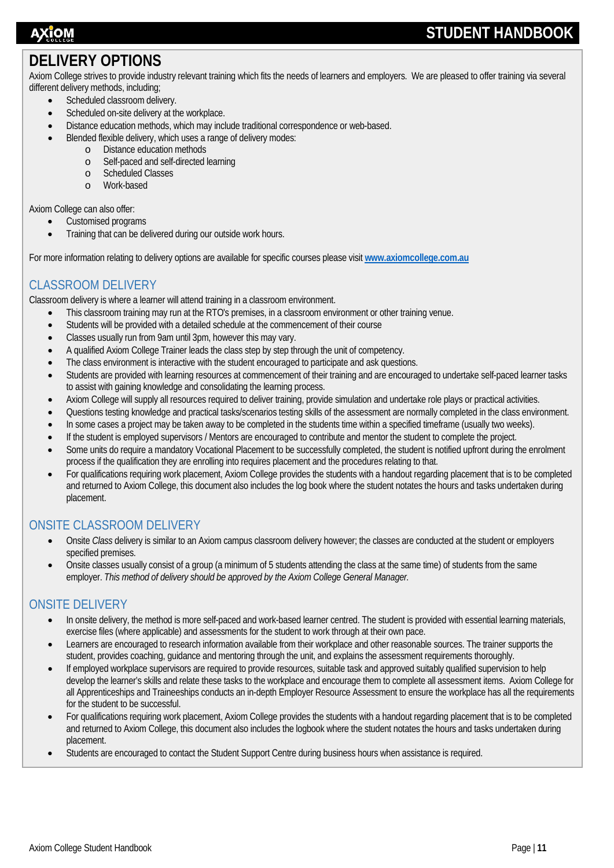# <span id="page-11-0"></span>**DELIVERY OPTIONS**

Axiom College strives to provide industry relevant training which fits the needs of learners and employers. We are pleased to offer training via several different delivery methods, including;

- Scheduled classroom delivery.
- Scheduled on-site delivery at the workplace.
- Distance education methods, which may include traditional correspondence or web-based.
	- Blended flexible delivery, which uses a range of delivery modes:
		- o Distance education methods
		- o Self-paced and self-directed learning
		- o Scheduled Classes<br>o Work-based
		- Work-based

Axiom College can also offer:

- Customised programs
- Training that can be delivered during our outside work hours.

For more information relating to delivery options are available for specific courses please visit **[www.axiomcollege.com.au](http://www.axiomcollege.com.au/)**

## <span id="page-11-1"></span>CLASSROOM DELIVERY

Classroom delivery is where a learner will attend training in a classroom environment.

- This classroom training may run at the RTO's premises, in a classroom environment or other training venue.
- Students will be provided with a detailed schedule at the commencement of their course
- Classes usually run from 9am until 3pm, however this may vary.
- A qualified Axiom College Trainer leads the class step by step through the unit of competency.
- The class environment is interactive with the student encouraged to participate and ask questions.
- Students are provided with learning resources at commencement of their training and are encouraged to undertake self-paced learner tasks to assist with gaining knowledge and consolidating the learning process.
- Axiom College will supply all resources required to deliver training, provide simulation and undertake role plays or practical activities.
- Questions testing knowledge and practical tasks/scenarios testing skills of the assessment are normally completed in the class environment.
- In some cases a project may be taken away to be completed in the students time within a specified timeframe (usually two weeks).
- If the student is employed supervisors / Mentors are encouraged to contribute and mentor the student to complete the project.
- Some units do require a mandatory Vocational Placement to be successfully completed, the student is notified upfront during the enrolment process if the qualification they are enrolling into requires placement and the procedures relating to that.
- For qualifications requiring work placement, Axiom College provides the students with a handout regarding placement that is to be completed and returned to Axiom College, this document also includes the log book where the student notates the hours and tasks undertaken during placement.

### <span id="page-11-2"></span>ONSITE CLASSROOM DELIVERY

- Onsite *Class* delivery is similar to an Axiom campus classroom delivery however; the classes are conducted at the student or employers specified premises.
- Onsite classes usually consist of a group (a minimum of 5 students attending the class at the same time) of students from the same employer. *This method of delivery should be approved by the Axiom College General Manager.*

### <span id="page-11-3"></span>ONSITE DELIVERY

- In onsite delivery, the method is more self-paced and work-based learner centred. The student is provided with essential learning materials, exercise files (where applicable) and assessments for the student to work through at their own pace.
- Learners are encouraged to research information available from their workplace and other reasonable sources. The trainer supports the student, provides coaching, guidance and mentoring through the unit, and explains the assessment requirements thoroughly.
- If employed workplace supervisors are required to provide resources, suitable task and approved suitably qualified supervision to help develop the learner's skills and relate these tasks to the workplace and encourage them to complete all assessment items. Axiom College for all Apprenticeships and Traineeships conducts an in-depth Employer Resource Assessment to ensure the workplace has all the requirements for the student to be successful.
- For qualifications requiring work placement, Axiom College provides the students with a handout regarding placement that is to be completed and returned to Axiom College, this document also includes the logbook where the student notates the hours and tasks undertaken during placement.
- Students are encouraged to contact the Student Support Centre during business hours when assistance is required.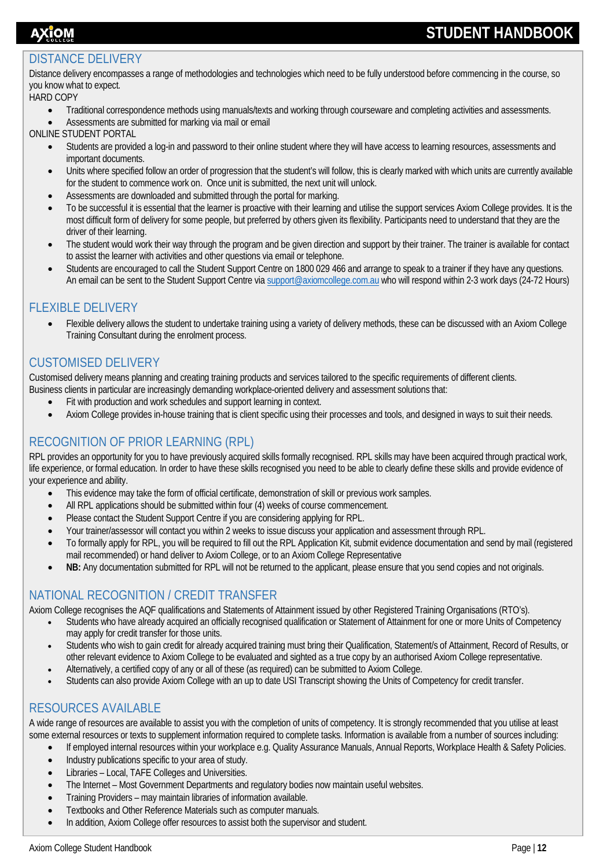# AXĭOM

# **STUDENT HANDBOOK**

### <span id="page-12-0"></span>DISTANCE DELIVERY

Distance delivery encompasses a range of methodologies and technologies which need to be fully understood before commencing in the course, so you know what to expect.

### HARD COPY

- Traditional correspondence methods using manuals/texts and working through courseware and completing activities and assessments.
- Assessments are submitted for marking via mail or email

ONLINE STUDENT PORTAL

- Students are provided a log-in and password to their online student where they will have access to learning resources, assessments and important documents.
- Units where specified follow an order of progression that the student's will follow, this is clearly marked with which units are currently available for the student to commence work on. Once unit is submitted, the next unit will unlock.
- Assessments are downloaded and submitted through the portal for marking.
- To be successful it is essential that the learner is proactive with their learning and utilise the support services Axiom College provides. It is the most difficult form of delivery for some people, but preferred by others given its flexibility. Participants need to understand that they are the driver of their learning.
- The student would work their way through the program and be given direction and support by their trainer. The trainer is available for contact to assist the learner with activities and other questions via email or telephone.
- Students are encouraged to call the Student Support Centre on 1800 029 466 and arrange to speak to a trainer if they have any questions. An email can be sent to the Student Support Centre vi[a support@axiomcollege.com.au](mailto:support@axiomcollege.com.au) who will respond within 2-3 work days (24-72 Hours)

### <span id="page-12-1"></span>FLEXIBLE DELIVERY

• Flexible delivery allows the student to undertake training using a variety of delivery methods, these can be discussed with an Axiom College Training Consultant during the enrolment process.

### <span id="page-12-2"></span>CUSTOMISED DELIVERY

Customised delivery means planning and creating training products and services tailored to the specific requirements of different clients. Business clients in particular are increasingly demanding workplace-oriented delivery and assessment solutions that:

- Fit with production and work schedules and support learning in context.
- Axiom College provides in-house training that is client specific using their processes and tools, and designed in ways to suit their needs.

### <span id="page-12-3"></span>RECOGNITION OF PRIOR LEARNING (RPL)

RPL provides an opportunity for you to have previously acquired skills formally recognised. RPL skills may have been acquired through practical work, life experience, or formal education. In order to have these skills recognised you need to be able to clearly define these skills and provide evidence of your experience and ability.

- This evidence may take the form of official certificate, demonstration of skill or previous work samples.
- All RPL applications should be submitted within four (4) weeks of course commencement.
- Please contact the Student Support Centre if you are considering applying for RPL.
- Your trainer/assessor will contact you within 2 weeks to issue discuss your application and assessment through RPL.
- To formally apply for RPL, you will be required to fill out the RPL Application Kit, submit evidence documentation and send by mail (registered mail recommended) or hand deliver to Axiom College, or to an Axiom College Representative
- **NB:** Any documentation submitted for RPL will not be returned to the applicant, please ensure that you send copies and not originals.

### <span id="page-12-4"></span>NATIONAL RECOGNITION / CREDIT TRANSFER

Axiom College recognises the AQF qualifications and Statements of Attainment issued by other Registered Training Organisations (RTO's).

- Students who have already acquired an officially recognised qualification or Statement of Attainment for one or more Units of Competency may apply for credit transfer for those units.
- Students who wish to gain credit for already acquired training must bring their Qualification, Statement/s of Attainment, Record of Results, or other relevant evidence to Axiom College to be evaluated and sighted as a true copy by an authorised Axiom College representative.
- Alternatively, a certified copy of any or all of these (as required) can be submitted to Axiom College.
- Students can also provide Axiom College with an up to date USI Transcript showing the Units of Competency for credit transfer.

### <span id="page-12-5"></span>RESOURCES AVAILABLE

A wide range of resources are available to assist you with the completion of units of competency. It is strongly recommended that you utilise at least some external resources or texts to supplement information required to complete tasks. Information is available from a number of sources including:

- If employed internal resources within your workplace e.g. Quality Assurance Manuals, Annual Reports, Workplace Health & Safety Policies.
- Industry publications specific to your area of study.
- Libraries Local, TAFE Colleges and Universities.
- The Internet Most Government Departments and regulatory bodies now maintain useful websites.
- Training Providers may maintain libraries of information available.
- Textbooks and Other Reference Materials such as computer manuals.
- In addition, Axiom College offer resources to assist both the supervisor and student.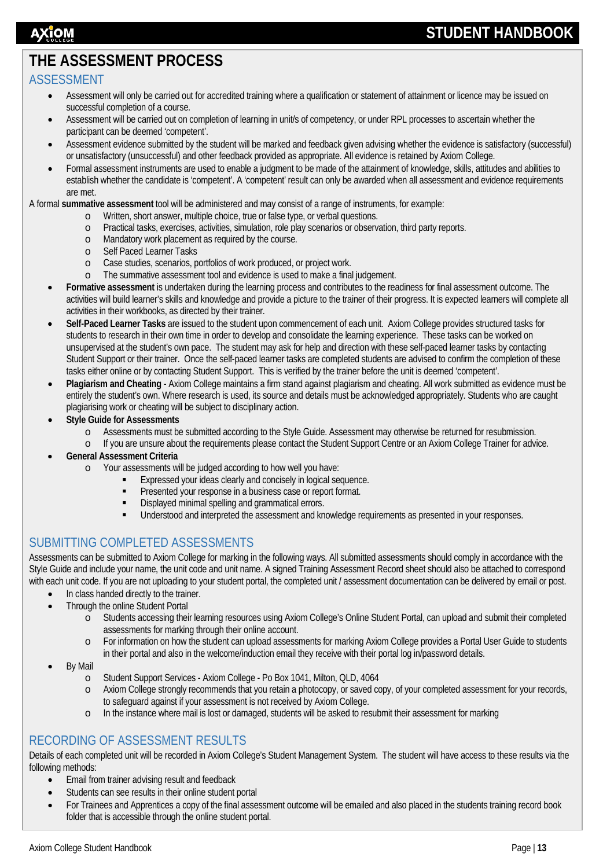# <span id="page-13-0"></span>**THE ASSESSMENT PROCESS**

### <span id="page-13-1"></span>ASSESSMENT

- Assessment will only be carried out for accredited training where a qualification or statement of attainment or licence may be issued on successful completion of a course.
- Assessment will be carried out on completion of learning in unit/s of competency, or under RPL processes to ascertain whether the participant can be deemed 'competent'.
- Assessment evidence submitted by the student will be marked and feedback given advising whether the evidence is satisfactory (successful) or unsatisfactory (unsuccessful) and other feedback provided as appropriate. All evidence is retained by Axiom College.
- Formal assessment instruments are used to enable a judgment to be made of the attainment of knowledge, skills, attitudes and abilities to establish whether the candidate is 'competent'. A 'competent' result can only be awarded when all assessment and evidence requirements are met.

A formal **summative assessment** tool will be administered and may consist of a range of instruments, for example:

- o Written, short answer, multiple choice, true or false type, or verbal questions.
- o Practical tasks, exercises, activities, simulation, role play scenarios or observation, third party reports.
- o Mandatory work placement as required by the course.<br>
o Self Paced Learner Tasks
- o Self Paced Learner Tasks<br>
o Case studies, scenarios, p
- o Case studies, scenarios, portfolios of work produced, or project work.
	- The summative assessment tool and evidence is used to make a final judgement.
- **Formative assessment** is undertaken during the learning process and contributes to the readiness for final assessment outcome. The activities will build learner's skills and knowledge and provide a picture to the trainer of their progress. It is expected learners will complete all activities in their workbooks, as directed by their trainer.
- **Self-Paced Learner Tasks** are issued to the student upon commencement of each unit. Axiom College provides structured tasks for students to research in their own time in order to develop and consolidate the learning experience. These tasks can be worked on unsupervised at the student's own pace. The student may ask for help and direction with these self-paced learner tasks by contacting Student Support or their trainer. Once the self-paced learner tasks are completed students are advised to confirm the completion of these tasks either online or by contacting Student Support. This is verified by the trainer before the unit is deemed 'competent'.
- **Plagiarism and Cheating**  Axiom College maintains a firm stand against plagiarism and cheating. All work submitted as evidence must be entirely the student's own. Where research is used, its source and details must be acknowledged appropriately. Students who are caught plagiarising work or cheating will be subject to disciplinary action.
- **Style Guide for Assessments** 
	- o Assessments must be submitted according to the Style Guide. Assessment may otherwise be returned for resubmission.<br>If you are unsure about the requirements please contact the Student Support Centre or an Axiom College Tr
	- If you are unsure about the requirements please contact the Student Support Centre or an Axiom College Trainer for advice.
- **General Assessment Criteria** 
	- o Your assessments will be judged according to how well you have:
		- Expressed your ideas clearly and concisely in logical sequence.
		- **Presented your response in a business case or report format.**
		- Displayed minimal spelling and grammatical errors.
		- Understood and interpreted the assessment and knowledge requirements as presented in your responses.

### <span id="page-13-2"></span>SUBMITTING COMPLETED ASSESSMENTS

Assessments can be submitted to Axiom College for marking in the following ways. All submitted assessments should comply in accordance with the Style Guide and include your name, the unit code and unit name. A signed Training Assessment Record sheet should also be attached to correspond with each unit code. If you are not uploading to your student portal, the completed unit / assessment documentation can be delivered by email or post.

- In class handed directly to the trainer.
	- Through the online Student Portal
		- o Students accessing their learning resources using Axiom College's Online Student Portal, can upload and submit their completed assessments for marking through their online account.
		- o For information on how the student can upload assessments for marking Axiom College provides a Portal User Guide to students in their portal and also in the welcome/induction email they receive with their portal log in/password details.
- By Mail
	- o Student Support Services Axiom College Po Box 1041, Milton, QLD, 4064
	- o Axiom College strongly recommends that you retain a photocopy, or saved copy, of your completed assessment for your records, to safeguard against if your assessment is not received by Axiom College.
	- o In the instance where mail is lost or damaged, students will be asked to resubmit their assessment for marking

### <span id="page-13-3"></span>RECORDING OF ASSESSMENT RESULTS

Details of each completed unit will be recorded in Axiom College's Student Management System. The student will have access to these results via the following methods:

- Email from trainer advising result and feedback
- Students can see results in their online student portal
- For Trainees and Apprentices a copy of the final assessment outcome will be emailed and also placed in the students training record book folder that is accessible through the online student portal.